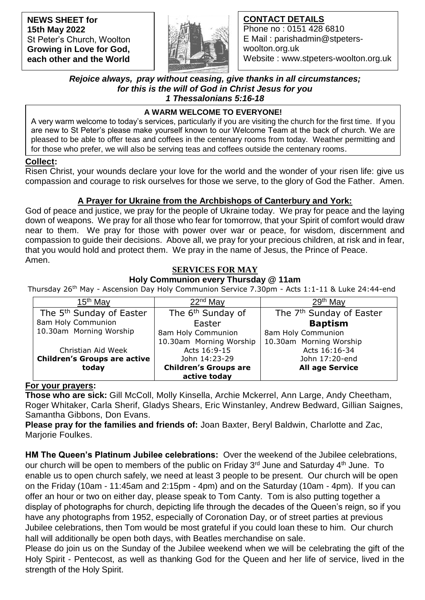**NEWS SHEET for 15th May 2022** St Peter's Church, Woolton **Growing in Love for God, each other and the World**



## **CONTACT DETAILS**

Phone no : 0151 428 6810 E Mail : parishadmin@stpeterswoolton.org.uk Website : www.stpeters-woolton.org.uk

#### *Rejoice always, pray without ceasing, give thanks in all circumstances; for this is the will of God in Christ Jesus for you 1 Thessalonians 5:16-18*

## **A WARM WELCOME TO EVERYONE!**

 for those who prefer, we will also be serving teas and coffees outside the centenary rooms. A very warm welcome to today's services, particularly if you are visiting the church for the first time. If you are new to St Peter's please make yourself known to our Welcome Team at the back of church. We are pleased to be able to offer teas and coffees in the centenary rooms from today. Weather permitting and

### **Collect:**

Risen Christ, your wounds declare your love for the world and the wonder of your risen life: give us compassion and courage to risk ourselves for those we serve, to the glory of God the Father. Amen.

## **A Prayer for Ukraine from the Archbishops of Canterbury and York:**

God of peace and justice, we pray for the people of Ukraine today. We pray for peace and the laying down of weapons. We pray for all those who fear for tomorrow, that your Spirit of comfort would draw near to them. We pray for those with power over war or peace, for wisdom, discernment and compassion to guide their decisions. Above all, we pray for your precious children, at risk and in fear, that you would hold and protect them. We pray in the name of Jesus, the Prince of Peace. Amen.

# **SERVICES FOR MAY**

## **Holy Communion every Thursday @ 11am**

Thursday 26<sup>th</sup> May - Ascension Day Holy Communion Service 7.30pm - Acts 1:1-11 & Luke 24:44-end

| 15 <sup>th</sup> May                 | $22nd$ May                    | $29th$ May                           |
|--------------------------------------|-------------------------------|--------------------------------------|
| The 5 <sup>th</sup> Sunday of Easter | The 6 <sup>th</sup> Sunday of | The 7 <sup>th</sup> Sunday of Easter |
| 8am Holy Communion                   | Easter                        | <b>Baptism</b>                       |
| 10.30am Morning Worship              | 8am Holy Communion            | 8am Holy Communion                   |
|                                      | 10.30am Morning Worship       | 10.30am Morning Worship              |
| Christian Aid Week                   | Acts 16:9-15                  | Acts 16:16-34                        |
| <b>Children's Groups are active</b>  | John 14:23-29                 | John 17:20-end                       |
| today                                | <b>Children's Groups are</b>  | <b>All age Service</b>               |
|                                      | active today                  |                                      |

### **For your prayers:**

**Those who are sick:** Gill McColl, Molly Kinsella, Archie Mckerrel, Ann Large, Andy Cheetham, Roger Whitaker, Carla Sherif, Gladys Shears, Eric Winstanley, Andrew Bedward, Gillian Saignes, Samantha Gibbons, Don Evans.

**Please pray for the families and friends of:** Joan Baxter, Beryl Baldwin, Charlotte and Zac, Marjorie Foulkes.

**HM The Queen's Platinum Jubilee celebrations:** Over the weekend of the Jubilee celebrations, our church will be open to members of the public on Friday 3<sup>rd</sup> June and Saturday 4<sup>th</sup> June. To enable us to open church safely, we need at least 3 people to be present. Our church will be open on the Friday (10am - 11:45am and 2:15pm - 4pm) and on the Saturday (10am - 4pm). If you can offer an hour or two on either day, please speak to Tom Canty. Tom is also putting together a display of photographs for church, depicting life through the decades of the Queen's reign, so if you have any photographs from 1952, especially of Coronation Day, or of street parties at previous Jubilee celebrations, then Tom would be most grateful if you could loan these to him. Our church hall will additionally be open both days, with Beatles merchandise on sale.

Please do join us on the Sunday of the Jubilee weekend when we will be celebrating the gift of the Holy Spirit - Pentecost, as well as thanking God for the Queen and her life of service, lived in the strength of the Holy Spirit.